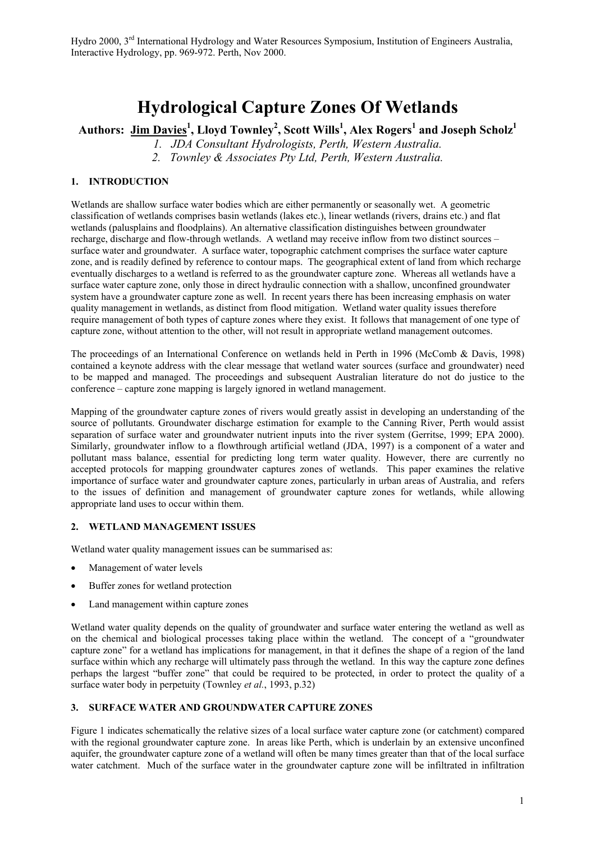# **Hydrological Capture Zones Of Wetlands**

**Authors: Jim Davies<sup>1</sup> , Lloyd Townley<sup>2</sup> , Scott Wills<sup>1</sup> , Alex Rogers1 and Joseph Scholz1**

*1. JDA Consultant Hydrologists, Perth, Western Australia.*

*2. Townley & Associates Pty Ltd, Perth, Western Australia.*

## **1. INTRODUCTION**

Wetlands are shallow surface water bodies which are either permanently or seasonally wet. A geometric classification of wetlands comprises basin wetlands (lakes etc.), linear wetlands (rivers, drains etc.) and flat wetlands (palusplains and floodplains). An alternative classification distinguishes between groundwater recharge, discharge and flow-through wetlands. A wetland may receive inflow from two distinct sources – surface water and groundwater. A surface water, topographic catchment comprises the surface water capture zone, and is readily defined by reference to contour maps. The geographical extent of land from which recharge eventually discharges to a wetland is referred to as the groundwater capture zone. Whereas all wetlands have a surface water capture zone, only those in direct hydraulic connection with a shallow, unconfined groundwater system have a groundwater capture zone as well. In recent years there has been increasing emphasis on water quality management in wetlands, as distinct from flood mitigation. Wetland water quality issues therefore require management of both types of capture zones where they exist. It follows that management of one type of capture zone, without attention to the other, will not result in appropriate wetland management outcomes.

The proceedings of an International Conference on wetlands held in Perth in 1996 (McComb & Davis, 1998) contained a keynote address with the clear message that wetland water sources (surface and groundwater) need to be mapped and managed. The proceedings and subsequent Australian literature do not do justice to the conference – capture zone mapping is largely ignored in wetland management.

Mapping of the groundwater capture zones of rivers would greatly assist in developing an understanding of the source of pollutants. Groundwater discharge estimation for example to the Canning River, Perth would assist separation of surface water and groundwater nutrient inputs into the river system (Gerritse, 1999; EPA 2000). Similarly, groundwater inflow to a flowthrough artificial wetland (JDA, 1997) is a component of a water and pollutant mass balance, essential for predicting long term water quality. However, there are currently no accepted protocols for mapping groundwater captures zones of wetlands. This paper examines the relative importance of surface water and groundwater capture zones, particularly in urban areas of Australia, and refers to the issues of definition and management of groundwater capture zones for wetlands, while allowing appropriate land uses to occur within them.

#### **2. WETLAND MANAGEMENT ISSUES**

Wetland water quality management issues can be summarised as:

- Management of water levels
- Buffer zones for wetland protection
- Land management within capture zones

Wetland water quality depends on the quality of groundwater and surface water entering the wetland as well as on the chemical and biological processes taking place within the wetland. The concept of a "groundwater capture zone" for a wetland has implications for management, in that it defines the shape of a region of the land surface within which any recharge will ultimately pass through the wetland. In this way the capture zone defines perhaps the largest "buffer zone" that could be required to be protected, in order to protect the quality of a surface water body in perpetuity (Townley *et al.*, 1993, p.32)

#### **3. SURFACE WATER AND GROUNDWATER CAPTURE ZONES**

Figure 1 indicates schematically the relative sizes of a local surface water capture zone (or catchment) compared with the regional groundwater capture zone. In areas like Perth, which is underlain by an extensive unconfined aquifer, the groundwater capture zone of a wetland will often be many times greater than that of the local surface water catchment. Much of the surface water in the groundwater capture zone will be infiltrated in infiltration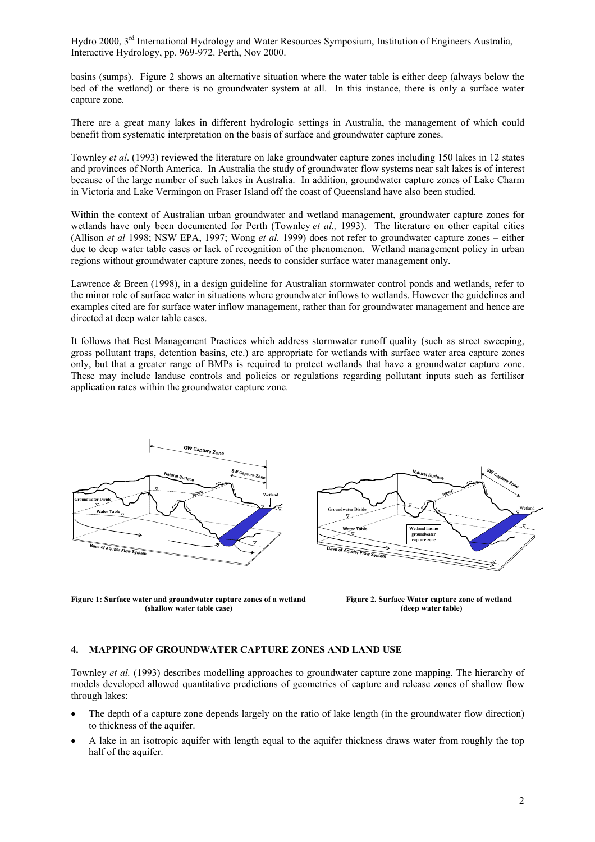basins (sumps). Figure 2 shows an alternative situation where the water table is either deep (always below the bed of the wetland) or there is no groundwater system at all. In this instance, there is only a surface water capture zone.

There are a great many lakes in different hydrologic settings in Australia, the management of which could benefit from systematic interpretation on the basis of surface and groundwater capture zones.

Townley *et al*. (1993) reviewed the literature on lake groundwater capture zones including 150 lakes in 12 states and provinces of North America. In Australia the study of groundwater flow systems near salt lakes is of interest because of the large number of such lakes in Australia. In addition, groundwater capture zones of Lake Charm in Victoria and Lake Vermingon on Fraser Island off the coast of Queensland have also been studied.

Within the context of Australian urban groundwater and wetland management, groundwater capture zones for wetlands have only been documented for Perth (Townley *et al.,* 1993). The literature on other capital cities (Allison *et al* 1998; NSW EPA, 1997; Wong *et al.* 1999) does not refer to groundwater capture zones – either due to deep water table cases or lack of recognition of the phenomenon. Wetland management policy in urban regions without groundwater capture zones, needs to consider surface water management only.

Lawrence & Breen (1998), in a design guideline for Australian stormwater control ponds and wetlands, refer to the minor role of surface water in situations where groundwater inflows to wetlands. However the guidelines and examples cited are for surface water inflow management, rather than for groundwater management and hence are directed at deep water table cases.

It follows that Best Management Practices which address stormwater runoff quality (such as street sweeping, gross pollutant traps, detention basins, etc.) are appropriate for wetlands with surface water area capture zones only, but that a greater range of BMPs is required to protect wetlands that have a groundwater capture zone. These may include landuse controls and policies or regulations regarding pollutant inputs such as fertiliser application rates within the groundwater capture zone.





**Figure 1: Surface water and groundwater capture zones of a wetland Figure 2. Surface Water capture zone of wetland (shallow water table case) (deep water table)**

#### **4. MAPPING OF GROUNDWATER CAPTURE ZONES AND LAND USE**

Townley *et al.* (1993) describes modelling approaches to groundwater capture zone mapping. The hierarchy of models developed allowed quantitative predictions of geometries of capture and release zones of shallow flow through lakes:

- The depth of a capture zone depends largely on the ratio of lake length (in the groundwater flow direction) to thickness of the aquifer.
- A lake in an isotropic aquifer with length equal to the aquifer thickness draws water from roughly the top half of the aquifer.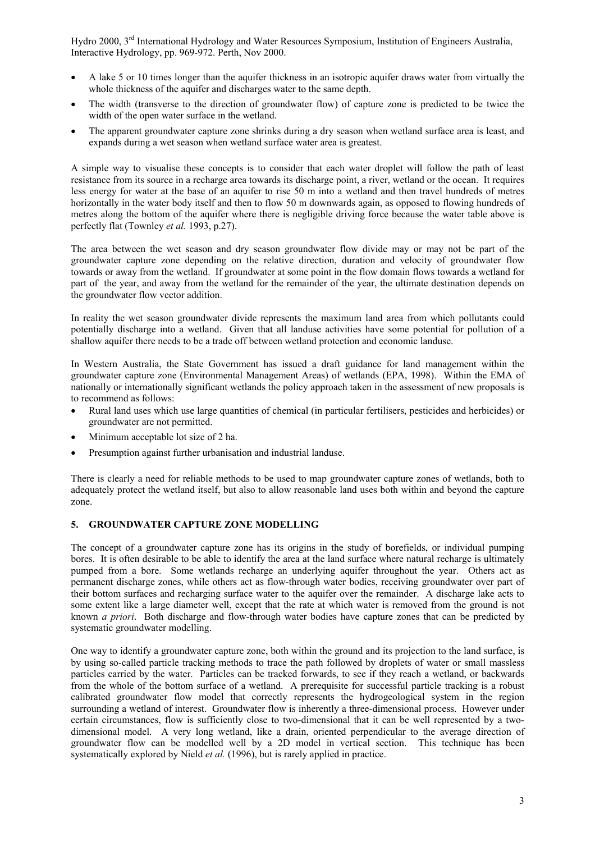- A lake 5 or 10 times longer than the aquifer thickness in an isotropic aquifer draws water from virtually the whole thickness of the aquifer and discharges water to the same depth.
- The width (transverse to the direction of groundwater flow) of capture zone is predicted to be twice the width of the open water surface in the wetland.
- The apparent groundwater capture zone shrinks during a dry season when wetland surface area is least, and expands during a wet season when wetland surface water area is greatest.

A simple way to visualise these concepts is to consider that each water droplet will follow the path of least resistance from its source in a recharge area towards its discharge point, a river, wetland or the ocean. It requires less energy for water at the base of an aquifer to rise 50 m into a wetland and then travel hundreds of metres horizontally in the water body itself and then to flow 50 m downwards again, as opposed to flowing hundreds of metres along the bottom of the aquifer where there is negligible driving force because the water table above is perfectly flat (Townley *et al.* 1993, p.27).

The area between the wet season and dry season groundwater flow divide may or may not be part of the groundwater capture zone depending on the relative direction, duration and velocity of groundwater flow towards or away from the wetland. If groundwater at some point in the flow domain flows towards a wetland for part of the year, and away from the wetland for the remainder of the year, the ultimate destination depends on the groundwater flow vector addition.

In reality the wet season groundwater divide represents the maximum land area from which pollutants could potentially discharge into a wetland. Given that all landuse activities have some potential for pollution of a shallow aquifer there needs to be a trade off between wetland protection and economic landuse.

In Western Australia, the State Government has issued a draft guidance for land management within the groundwater capture zone (Environmental Management Areas) of wetlands (EPA, 1998). Within the EMA of nationally or internationally significant wetlands the policy approach taken in the assessment of new proposals is to recommend as follows:

- Rural land uses which use large quantities of chemical (in particular fertilisers, pesticides and herbicides) or groundwater are not permitted.
- Minimum acceptable lot size of 2 ha.
- Presumption against further urbanisation and industrial landuse.

There is clearly a need for reliable methods to be used to map groundwater capture zones of wetlands, both to adequately protect the wetland itself, but also to allow reasonable land uses both within and beyond the capture zone.

# **5. GROUNDWATER CAPTURE ZONE MODELLING**

The concept of a groundwater capture zone has its origins in the study of borefields, or individual pumping bores. It is often desirable to be able to identify the area at the land surface where natural recharge is ultimately pumped from a bore. Some wetlands recharge an underlying aquifer throughout the year. Others act as permanent discharge zones, while others act as flow-through water bodies, receiving groundwater over part of their bottom surfaces and recharging surface water to the aquifer over the remainder. A discharge lake acts to some extent like a large diameter well, except that the rate at which water is removed from the ground is not known *a priori*. Both discharge and flow-through water bodies have capture zones that can be predicted by systematic groundwater modelling.

One way to identify a groundwater capture zone, both within the ground and its projection to the land surface, is by using so-called particle tracking methods to trace the path followed by droplets of water or small massless particles carried by the water. Particles can be tracked forwards, to see if they reach a wetland, or backwards from the whole of the bottom surface of a wetland. A prerequisite for successful particle tracking is a robust calibrated groundwater flow model that correctly represents the hydrogeological system in the region surrounding a wetland of interest. Groundwater flow is inherently a three-dimensional process. However under certain circumstances, flow is sufficiently close to two-dimensional that it can be well represented by a twodimensional model. A very long wetland, like a drain, oriented perpendicular to the average direction of groundwater flow can be modelled well by a 2D model in vertical section. This technique has been systematically explored by Nield *et al.* (1996), but is rarely applied in practice.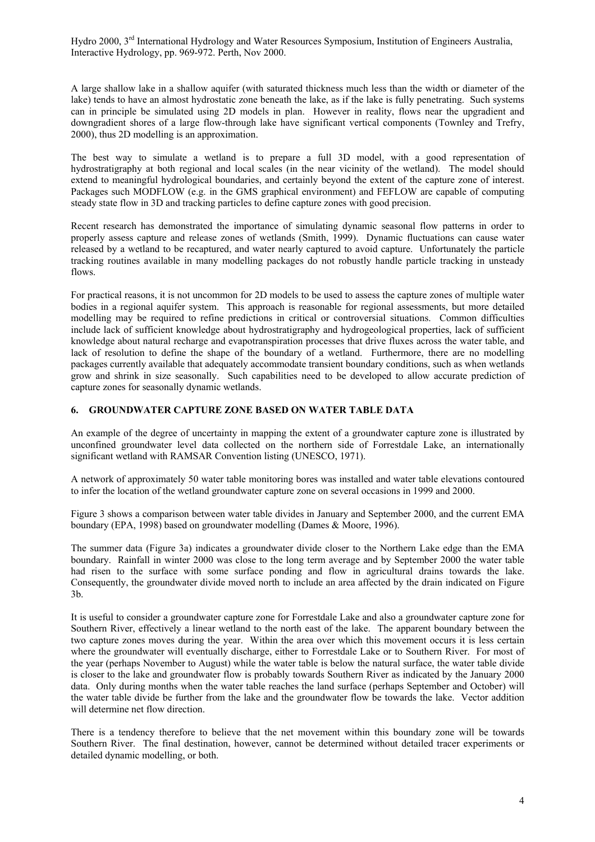A large shallow lake in a shallow aquifer (with saturated thickness much less than the width or diameter of the lake) tends to have an almost hydrostatic zone beneath the lake, as if the lake is fully penetrating. Such systems can in principle be simulated using 2D models in plan. However in reality, flows near the upgradient and downgradient shores of a large flow-through lake have significant vertical components (Townley and Trefry, 2000), thus 2D modelling is an approximation.

The best way to simulate a wetland is to prepare a full 3D model, with a good representation of hydrostratigraphy at both regional and local scales (in the near vicinity of the wetland). The model should extend to meaningful hydrological boundaries, and certainly beyond the extent of the capture zone of interest. Packages such MODFLOW (e.g. in the GMS graphical environment) and FEFLOW are capable of computing steady state flow in 3D and tracking particles to define capture zones with good precision.

Recent research has demonstrated the importance of simulating dynamic seasonal flow patterns in order to properly assess capture and release zones of wetlands (Smith, 1999). Dynamic fluctuations can cause water released by a wetland to be recaptured, and water nearly captured to avoid capture. Unfortunately the particle tracking routines available in many modelling packages do not robustly handle particle tracking in unsteady flows.

For practical reasons, it is not uncommon for 2D models to be used to assess the capture zones of multiple water bodies in a regional aquifer system. This approach is reasonable for regional assessments, but more detailed modelling may be required to refine predictions in critical or controversial situations. Common difficulties include lack of sufficient knowledge about hydrostratigraphy and hydrogeological properties, lack of sufficient knowledge about natural recharge and evapotranspiration processes that drive fluxes across the water table, and lack of resolution to define the shape of the boundary of a wetland. Furthermore, there are no modelling packages currently available that adequately accommodate transient boundary conditions, such as when wetlands grow and shrink in size seasonally. Such capabilities need to be developed to allow accurate prediction of capture zones for seasonally dynamic wetlands.

## **6. GROUNDWATER CAPTURE ZONE BASED ON WATER TABLE DATA**

An example of the degree of uncertainty in mapping the extent of a groundwater capture zone is illustrated by unconfined groundwater level data collected on the northern side of Forrestdale Lake, an internationally significant wetland with RAMSAR Convention listing (UNESCO, 1971).

A network of approximately 50 water table monitoring bores was installed and water table elevations contoured to infer the location of the wetland groundwater capture zone on several occasions in 1999 and 2000.

Figure 3 shows a comparison between water table divides in January and September 2000, and the current EMA boundary (EPA, 1998) based on groundwater modelling (Dames & Moore, 1996).

The summer data (Figure 3a) indicates a groundwater divide closer to the Northern Lake edge than the EMA boundary. Rainfall in winter 2000 was close to the long term average and by September 2000 the water table had risen to the surface with some surface ponding and flow in agricultural drains towards the lake. Consequently, the groundwater divide moved north to include an area affected by the drain indicated on Figure 3b.

It is useful to consider a groundwater capture zone for Forrestdale Lake and also a groundwater capture zone for Southern River, effectively a linear wetland to the north east of the lake. The apparent boundary between the two capture zones moves during the year. Within the area over which this movement occurs it is less certain where the groundwater will eventually discharge, either to Forrestdale Lake or to Southern River. For most of the year (perhaps November to August) while the water table is below the natural surface, the water table divide is closer to the lake and groundwater flow is probably towards Southern River as indicated by the January 2000 data. Only during months when the water table reaches the land surface (perhaps September and October) will the water table divide be further from the lake and the groundwater flow be towards the lake. Vector addition will determine net flow direction.

There is a tendency therefore to believe that the net movement within this boundary zone will be towards Southern River. The final destination, however, cannot be determined without detailed tracer experiments or detailed dynamic modelling, or both.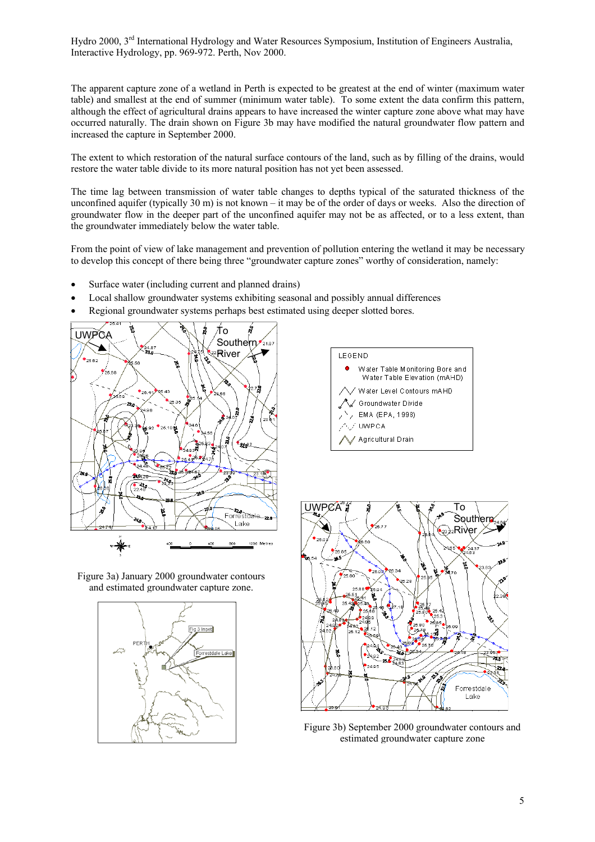The apparent capture zone of a wetland in Perth is expected to be greatest at the end of winter (maximum water table) and smallest at the end of summer (minimum water table). To some extent the data confirm this pattern, although the effect of agricultural drains appears to have increased the winter capture zone above what may have occurred naturally. The drain shown on Figure 3b may have modified the natural groundwater flow pattern and increased the capture in September 2000.

The extent to which restoration of the natural surface contours of the land, such as by filling of the drains, would restore the water table divide to its more natural position has not yet been assessed.

The time lag between transmission of water table changes to depths typical of the saturated thickness of the unconfined aquifer (typically 30 m) is not known – it may be of the order of days or weeks. Also the direction of groundwater flow in the deeper part of the unconfined aquifer may not be as affected, or to a less extent, than the groundwater immediately below the water table.

From the point of view of lake management and prevention of pollution entering the wetland it may be necessary to develop this concept of there being three "groundwater capture zones" worthy of consideration, namely:

- Surface water (including current and planned drains)
- Local shallow groundwater systems exhibiting seasonal and possibly annual differences
- Regional groundwater systems perhaps best estimated using deeper slotted bores.



Figure 3a) January 2000 groundwater contours and estimated groundwater capture zone.







Figure 3b) September 2000 groundwater contours and estimated groundwater capture zone